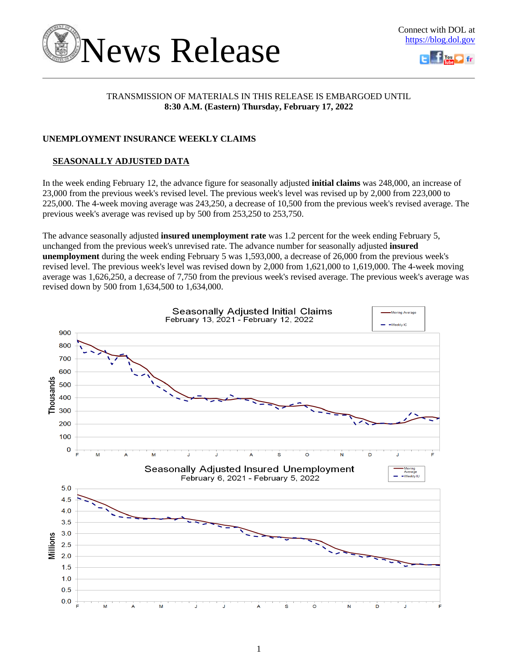



# TRANSMISSION OF MATERIALS IN THIS RELEASE IS EMBARGOED UNTIL **8:30 A.M. (Eastern) Thursday, February 17, 2022**

# **UNEMPLOYMENT INSURANCE WEEKLY CLAIMS**

# **SEASONALLY ADJUSTED DATA**

In the week ending February 12, the advance figure for seasonally adjusted **initial claims** was 248,000, an increase of 23,000 from the previous week's revised level. The previous week's level was revised up by 2,000 from 223,000 to 225,000. The 4-week moving average was 243,250, a decrease of 10,500 from the previous week's revised average. The previous week's average was revised up by 500 from 253,250 to 253,750.

The advance seasonally adjusted **insured unemployment rate** was 1.2 percent for the week ending February 5, unchanged from the previous week's unrevised rate. The advance number for seasonally adjusted **insured unemployment** during the week ending February 5 was 1,593,000, a decrease of 26,000 from the previous week's revised level. The previous week's level was revised down by 2,000 from 1,621,000 to 1,619,000. The 4-week moving average was 1,626,250, a decrease of 7,750 from the previous week's revised average. The previous week's average was revised down by 500 from 1,634,500 to 1,634,000.

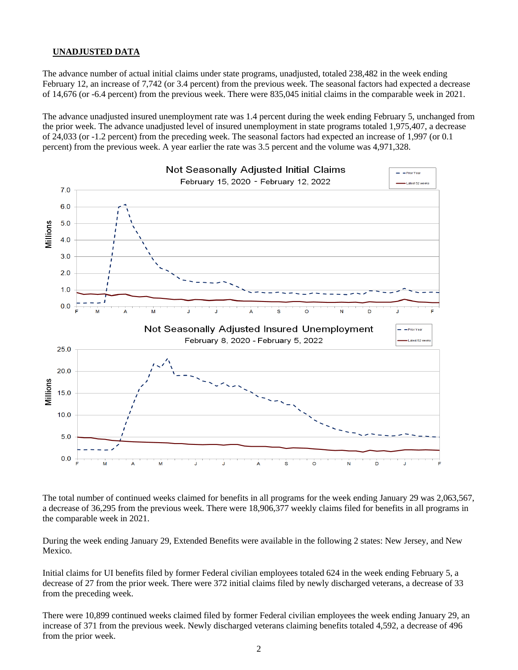### **UNADJUSTED DATA**

The advance number of actual initial claims under state programs, unadjusted, totaled 238,482 in the week ending February 12, an increase of 7,742 (or 3.4 percent) from the previous week. The seasonal factors had expected a decrease of 14,676 (or -6.4 percent) from the previous week. There were 835,045 initial claims in the comparable week in 2021.

The advance unadjusted insured unemployment rate was 1.4 percent during the week ending February 5, unchanged from the prior week. The advance unadjusted level of insured unemployment in state programs totaled 1,975,407, a decrease of 24,033 (or -1.2 percent) from the preceding week. The seasonal factors had expected an increase of 1,997 (or 0.1 percent) from the previous week. A year earlier the rate was 3.5 percent and the volume was 4,971,328.



The total number of continued weeks claimed for benefits in all programs for the week ending January 29 was 2,063,567, a decrease of 36,295 from the previous week. There were 18,906,377 weekly claims filed for benefits in all programs in the comparable week in 2021.

During the week ending January 29, Extended Benefits were available in the following 2 states: New Jersey, and New Mexico.

Initial claims for UI benefits filed by former Federal civilian employees totaled 624 in the week ending February 5, a decrease of 27 from the prior week. There were 372 initial claims filed by newly discharged veterans, a decrease of 33 from the preceding week.

There were 10,899 continued weeks claimed filed by former Federal civilian employees the week ending January 29, an increase of 371 from the previous week. Newly discharged veterans claiming benefits totaled 4,592, a decrease of 496 from the prior week.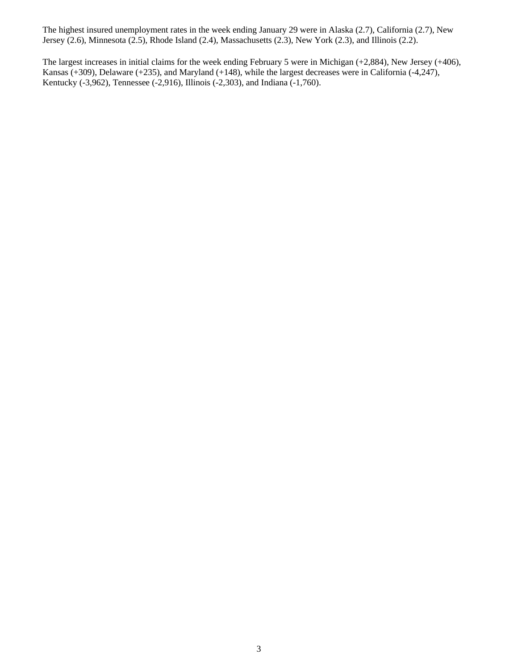The highest insured unemployment rates in the week ending January 29 were in Alaska (2.7), California (2.7), New Jersey (2.6), Minnesota (2.5), Rhode Island (2.4), Massachusetts (2.3), New York (2.3), and Illinois (2.2).

The largest increases in initial claims for the week ending February 5 were in Michigan (+2,884), New Jersey (+406), Kansas (+309), Delaware (+235), and Maryland (+148), while the largest decreases were in California (-4,247), Kentucky (-3,962), Tennessee (-2,916), Illinois (-2,303), and Indiana (-1,760).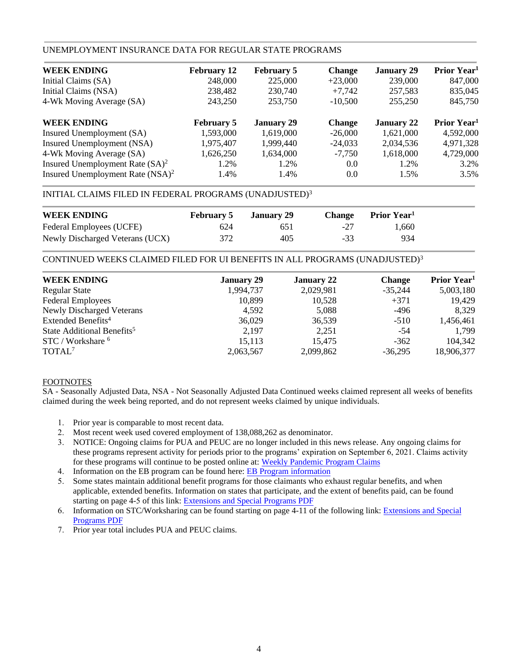# UNEMPLOYMENT INSURANCE DATA FOR REGULAR STATE PROGRAMS

| <b>WEEK ENDING</b>                  | <b>February 12</b> | <b>February 5</b> | <b>Change</b> | <b>January 29</b> | Prior Year <sup>1</sup> |
|-------------------------------------|--------------------|-------------------|---------------|-------------------|-------------------------|
| Initial Claims (SA)                 | 248,000            | 225,000           | $+23,000$     | 239,000           | 847,000                 |
| Initial Claims (NSA)                | 238,482            | 230,740           | $+7,742$      | 257,583           | 835,045                 |
| 4-Wk Moving Average (SA)            | 243,250            | 253,750           | $-10,500$     | 255,250           | 845,750                 |
| <b>WEEK ENDING</b>                  | <b>February 5</b>  | <b>January 29</b> | <b>Change</b> | <b>January 22</b> | Prior Year <sup>1</sup> |
| Insured Unemployment (SA)           | 1,593,000          | 1,619,000         | $-26,000$     | 1,621,000         | 4,592,000               |
| Insured Unemployment (NSA)          | 1,975,407          | 1.999.440         | $-24,033$     | 2,034,536         | 4,971,328               |
| 4-Wk Moving Average (SA)            | 1,626,250          | 1,634,000         | $-7,750$      | 1,618,000         | 4,729,000               |
| Insured Unemployment Rate $(SA)^2$  | 1.2%               | 1.2%              | 0.0           | 1.2%              | 3.2%                    |
| Insured Unemployment Rate $(NSA)^2$ | 1.4%               | 1.4%              | 0.0           | 1.5%              | 3.5%                    |

# INITIAL CLAIMS FILED IN FEDERAL PROGRAMS (UNADJUSTED)<sup>3</sup>

| <b>WEEK ENDING</b>              | <b>February 5</b> | January 29 | <b>Change</b> | <b>Prior Year</b> |  |
|---------------------------------|-------------------|------------|---------------|-------------------|--|
| Federal Employees (UCFE)        | 624               | 65 I       | -27           | 1.660             |  |
| Newly Discharged Veterans (UCX) | 372               | 405        | $-33$         | 934               |  |

CONTINUED WEEKS CLAIMED FILED FOR UI BENEFITS IN ALL PROGRAMS (UNADJUSTED)<sup>3</sup>

| <b>WEEK ENDING</b>                     | <b>January 29</b> | <b>January 22</b> | <b>Change</b> | Prior Year <sup>1</sup> |
|----------------------------------------|-------------------|-------------------|---------------|-------------------------|
| <b>Regular State</b>                   | 1,994,737         | 2,029,981         | $-35,244$     | 5,003,180               |
| <b>Federal Employees</b>               | 10.899            | 10,528            | $+371$        | 19,429                  |
| <b>Newly Discharged Veterans</b>       | 4,592             | 5,088             | $-496$        | 8,329                   |
| Extended Benefits <sup>4</sup>         | 36,029            | 36,539            | $-510$        | 1,456,461               |
| State Additional Benefits <sup>5</sup> | 2.197             | 2,251             | -54           | 1,799                   |
| STC / Workshare <sup>6</sup>           | 15,113            | 15,475            | $-362$        | 104,342                 |
| TOTAL <sup>7</sup>                     | 2,063,567         | 2,099,862         | $-36.295$     | 18,906,377              |

### FOOTNOTES

SA - Seasonally Adjusted Data, NSA - Not Seasonally Adjusted Data Continued weeks claimed represent all weeks of benefits claimed during the week being reported, and do not represent weeks claimed by unique individuals.

- 1. Prior year is comparable to most recent data.
- 2. Most recent week used covered employment of 138,088,262 as denominator.
- 3. NOTICE: Ongoing claims for PUA and PEUC are no longer included in this news release. Any ongoing claims for these programs represent activity for periods prior to the programs' expiration on September 6, 2021. Claims activity for these programs will continue to be posted online at: [Weekly Pandemic Program Claims](https://oui.doleta.gov/unemploy/docs/weekly_pandemic_claims.xlsx)
- 4. Information on the EB program can be found here: [EB Program information](https://oui.doleta.gov/unemploy/extenben.asp)
- 5. Some states maintain additional benefit programs for those claimants who exhaust regular benefits, and when applicable, extended benefits. Information on states that participate, and the extent of benefits paid, can be found starting on page 4-5 of this link: [Extensions and Special Programs PDF](https://oui.doleta.gov/unemploy/pdf/uilawcompar/2021/special.pdf#page=5)
- 6. Information on STC/Worksharing can be found starting on page 4-11 of the following link: [Extensions and Special](https://oui.doleta.gov/unemploy/pdf/uilawcompar/2021/special.pdf#page=11) [Programs PDF](https://oui.doleta.gov/unemploy/pdf/uilawcompar/2021/special.pdf#page=11)
- 7. Prior year total includes PUA and PEUC claims.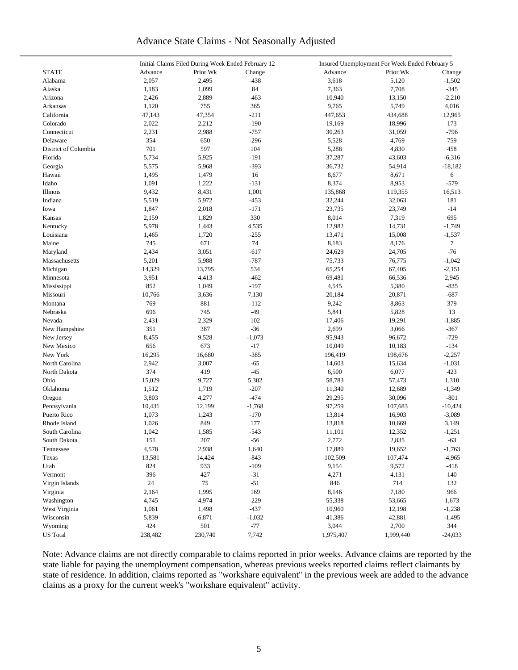# Advance State Claims - Not Seasonally Adjusted

|                      | Initial Claims Filed During Week Ended February 12 |          |          | Insured Unemployment For Week Ended February 5 |           |                 |  |  |
|----------------------|----------------------------------------------------|----------|----------|------------------------------------------------|-----------|-----------------|--|--|
| <b>STATE</b>         | Advance                                            | Prior Wk | Change   | Advance                                        | Prior Wk  | Change          |  |  |
| Alabama              | 2,057                                              | 2,495    | $-438$   | 3,618                                          | 5,120     | $-1,502$        |  |  |
| Alaska               | 1,183                                              | 1,099    | 84       | 7,363                                          | 7,708     | $-345$          |  |  |
| Arizona              | 2,426                                              | 2,889    | $-463$   | 10,940                                         | 13,150    | $-2,210$        |  |  |
| Arkansas             | 1,120                                              | 755      | 365      | 9,765                                          | 5,749     | 4,016           |  |  |
| California           | 47,143                                             | 47,354   | $-211$   | 447,653                                        | 434,688   | 12,965          |  |  |
| Colorado             | 2,022                                              | 2,212    | $-190$   | 19,169                                         | 18,996    | 173             |  |  |
| Connecticut          | 2,231                                              | 2,988    | $-757$   | 30,263                                         | 31,059    | $-796$          |  |  |
| Delaware             | 354                                                | 650      | $-296$   | 5,528                                          | 4,769     | 759             |  |  |
| District of Columbia | 701                                                | 597      | 104      | 5,288                                          | 4,830     | 458             |  |  |
| Florida              | 5,734                                              | 5,925    | $-191$   | 37,287                                         | 43,603    | $-6,316$        |  |  |
|                      | 5,575                                              | 5,968    | $-393$   | 36,732                                         | 54,914    | $-18,182$       |  |  |
| Georgia<br>Hawaii    |                                                    |          |          | 8,677                                          |           |                 |  |  |
|                      | 1,495                                              | 1,479    | 16       |                                                | 8,671     | 6               |  |  |
| Idaho                | 1,091                                              | 1,222    | $-131$   | 8,374                                          | 8,953     | $-579$          |  |  |
| Illinois             | 9,432                                              | 8,431    | 1,001    | 135,868                                        | 119,355   | 16,513          |  |  |
| Indiana              | 5,519                                              | 5,972    | $-453$   | 32,244                                         | 32,063    | 181             |  |  |
| Iowa                 | 1,847                                              | 2,018    | $-171$   | 23,735                                         | 23,749    | $-14$           |  |  |
| Kansas               | 2,159                                              | 1,829    | 330      | 8,014                                          | 7,319     | 695             |  |  |
| Kentucky             | 5,978                                              | 1,443    | 4,535    | 12,982                                         | 14,731    | $-1,749$        |  |  |
| Louisiana            | 1,465                                              | 1,720    | $-255$   | 13,471                                         | 15,008    | $-1,537$        |  |  |
| Maine                | 745                                                | 671      | 74       | 8,183                                          | 8,176     | $7\overline{ }$ |  |  |
| Maryland             | 2,434                                              | 3,051    | $-617$   | 24,629                                         | 24,705    | $-76$           |  |  |
| Massachusetts        | 5,201                                              | 5,988    | $-787$   | 75,733                                         | 76,775    | $-1,042$        |  |  |
| Michigan             | 14,329                                             | 13,795   | 534      | 65,254                                         | 67,405    | $-2,151$        |  |  |
| Minnesota            | 3,951                                              | 4,413    | $-462$   | 69,481                                         | 66,536    | 2,945           |  |  |
| Mississippi          | 852                                                | 1,049    | $-197$   | 4,545                                          | 5,380     | $-835$          |  |  |
| Missouri             | 10,766                                             | 3,636    | 7,130    | 20,184                                         | 20,871    | $-687$          |  |  |
| Montana              | 769                                                | 881      | $-112$   | 9,242                                          | 8,863     | 379             |  |  |
| Nebraska             | 696                                                | 745      | $-49$    | 5,841                                          | 5,828     | 13              |  |  |
| Nevada               | 2,431                                              | 2,329    | 102      | 17,406                                         | 19,291    | $-1,885$        |  |  |
| New Hampshire        | 351                                                | 387      | $-36$    | 2,699                                          | 3,066     | $-367$          |  |  |
| New Jersey           | 8,455                                              | 9,528    | $-1,073$ | 95,943                                         | 96,672    | $-729$          |  |  |
| New Mexico           | 656                                                | 673      | $-17$    | 10,049                                         | 10,183    | $-134$          |  |  |
| New York             | 16,295                                             | 16,680   | $-385$   | 196,419                                        | 198,676   | $-2,257$        |  |  |
| North Carolina       | 2,942                                              | 3,007    | $-65$    | 14,603                                         | 15,634    | $-1,031$        |  |  |
| North Dakota         | 374                                                | 419      | $-45$    | 6,500                                          | 6,077     | 423             |  |  |
| Ohio                 | 15,029                                             | 9,727    | 5,302    | 58,783                                         | 57,473    | 1,310           |  |  |
| Oklahoma             | 1,512                                              | 1,719    | $-207$   | 11,340                                         | 12,689    | $-1,349$        |  |  |
| Oregon               | 3,803                                              | 4,277    | $-474$   | 29,295                                         | 30,096    | $-801$          |  |  |
| Pennsylvania         | 10,431                                             | 12,199   | $-1,768$ | 97,259                                         | 107,683   | $-10,424$       |  |  |
| Puerto Rico          | 1,073                                              | 1,243    | $-170$   | 13,814                                         | 16,903    | $-3,089$        |  |  |
| Rhode Island         | 1,026                                              | 849      | 177      | 13,818                                         | 10,669    | 3,149           |  |  |
| South Carolina       | 1,042                                              | 1,585    | $-543$   | 11,101                                         | 12,352    | $-1,251$        |  |  |
|                      | 151                                                |          | $-56$    |                                                |           |                 |  |  |
| South Dakota         |                                                    | $207\,$  | 1,640    | 2,772<br>17,889                                | 2,835     | $-63$           |  |  |
| Tennessee            | 4,578                                              | 2,938    |          |                                                | 19,652    | $-1,763$        |  |  |
| Texas                | 13,581                                             | 14,424   | $-843$   | 102,509                                        | 107,474   | $-4,965$        |  |  |
| Utah                 | 824                                                | 933      | $-109$   | 9,154                                          | 9,572     | $-418$          |  |  |
| Vermont              | 396                                                | 427      | $-31$    | 4,271                                          | 4,131     | 140             |  |  |
| Virgin Islands       | 24                                                 | 75       | $-51$    | 846                                            | 714       | 132             |  |  |
| Virginia             | 2,164                                              | 1,995    | 169      | 8,146                                          | 7,180     | 966             |  |  |
| Washington           | 4,745                                              | 4,974    | $-229$   | 55,338                                         | 53,665    | 1,673           |  |  |
| West Virginia        | 1,061                                              | 1,498    | $-437$   | 10,960                                         | 12,198    | $-1,238$        |  |  |
| Wisconsin            | 5,839                                              | 6,871    | $-1,032$ | 41,386                                         | 42,881    | $-1,495$        |  |  |
| Wyoming              | 424                                                | 501      | $-77$    | 3,044                                          | 2,700     | 344             |  |  |
| <b>US</b> Total      | 238,482                                            | 230,740  | 7,742    | 1,975,407                                      | 1,999,440 | $-24,033$       |  |  |

Note: Advance claims are not directly comparable to claims reported in prior weeks. Advance claims are reported by the state liable for paying the unemployment compensation, whereas previous weeks reported claims reflect claimants by state of residence. In addition, claims reported as "workshare equivalent" in the previous week are added to the advance claims as a proxy for the current week's "workshare equivalent" activity.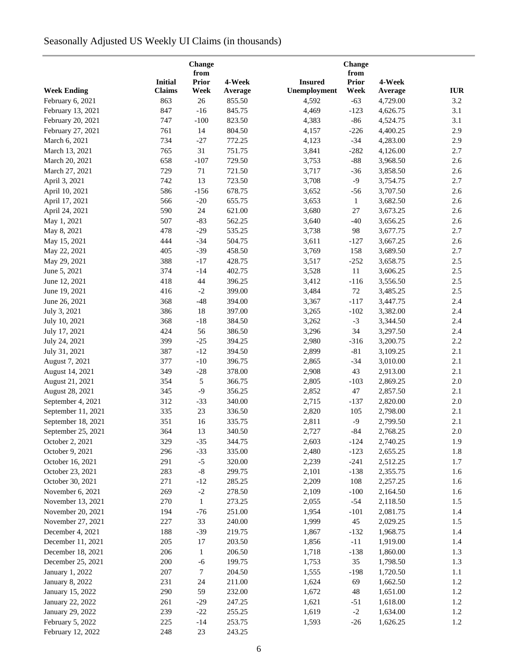# Seasonally Adjusted US Weekly UI Claims (in thousands)

|                    |                | Change        |         |                | Change               |          |            |
|--------------------|----------------|---------------|---------|----------------|----------------------|----------|------------|
|                    | <b>Initial</b> | from<br>Prior | 4-Week  | <b>Insured</b> | from<br><b>Prior</b> | 4-Week   |            |
| <b>Week Ending</b> | <b>Claims</b>  | Week          | Average | Unemployment   | Week                 | Average  | <b>IUR</b> |
| February 6, 2021   | 863            | 26            | 855.50  | 4,592          | $-63$                | 4,729.00 | 3.2        |
| February 13, 2021  | 847            | $-16$         | 845.75  | 4,469          | $-123$               | 4,626.75 | 3.1        |
| February 20, 2021  | 747            | $-100$        | 823.50  | 4,383          | $-86$                | 4,524.75 | 3.1        |
| February 27, 2021  | 761            | 14            | 804.50  | 4,157          | $-226$               | 4,400.25 | 2.9        |
| March 6, 2021      | 734            | $-27$         | 772.25  | 4,123          | $-34$                | 4,283.00 | 2.9        |
| March 13, 2021     | 765            | 31            | 751.75  | 3,841          | $-282$               | 4,126.00 | 2.7        |
| March 20, 2021     | 658            | $-107$        | 729.50  | 3,753          | $-88$                | 3,968.50 | 2.6        |
| March 27, 2021     | 729            | $71\,$        | 721.50  | 3,717          | $-36$                | 3,858.50 | 2.6        |
| April 3, 2021      | 742            | 13            | 723.50  | 3,708          | $-9$                 | 3,754.75 | 2.7        |
| April 10, 2021     | 586            | $-156$        | 678.75  | 3,652          | $-56$                | 3,707.50 | 2.6        |
| April 17, 2021     | 566            | $-20$         | 655.75  | 3,653          | $\mathbf{1}$         | 3,682.50 | 2.6        |
| April 24, 2021     | 590            | 24            | 621.00  | 3,680          | 27                   | 3,673.25 | 2.6        |
|                    | 507            |               | 562.25  |                |                      |          |            |
| May 1, 2021        | 478            | $-83$         | 535.25  | 3,640          | $-40$<br>98          | 3,656.25 | 2.6<br>2.7 |
| May 8, 2021        |                | $-29$         |         | 3,738          |                      | 3,677.75 |            |
| May 15, 2021       | 444            | $-34$         | 504.75  | 3,611          | $-127$               | 3,667.25 | 2.6        |
| May 22, 2021       | 405            | $-39$         | 458.50  | 3,769          | 158                  | 3,689.50 | 2.7        |
| May 29, 2021       | 388            | $-17$         | 428.75  | 3,517          | $-252$               | 3,658.75 | $2.5\,$    |
| June 5, 2021       | 374            | $-14$         | 402.75  | 3,528          | 11                   | 3,606.25 | $2.5\,$    |
| June 12, 2021      | 418            | 44            | 396.25  | 3,412          | $-116$               | 3,556.50 | $2.5\,$    |
| June 19, 2021      | 416            | $-2$          | 399.00  | 3,484          | $72\,$               | 3,485.25 | $2.5\,$    |
| June 26, 2021      | 368            | $-48$         | 394.00  | 3,367          | $-117$               | 3,447.75 | $2.4\,$    |
| July 3, 2021       | 386            | 18            | 397.00  | 3,265          | $-102$               | 3,382.00 | 2.4        |
| July 10, 2021      | 368            | $-18$         | 384.50  | 3,262          | $-3$                 | 3,344.50 | 2.4        |
| July 17, 2021      | 424            | 56            | 386.50  | 3,296          | 34                   | 3,297.50 | 2.4        |
| July 24, 2021      | 399            | $-25$         | 394.25  | 2,980          | $-316$               | 3,200.75 | 2.2        |
| July 31, 2021      | 387            | $-12$         | 394.50  | 2,899          | $-81$                | 3,109.25 | 2.1        |
| August 7, 2021     | 377            | $-10$         | 396.75  | 2,865          | $-34$                | 3,010.00 | 2.1        |
| August 14, 2021    | 349            | $-28$         | 378.00  | 2,908          | 43                   | 2,913.00 | 2.1        |
| August 21, 2021    | 354            | $\sqrt{5}$    | 366.75  | 2,805          | $-103$               | 2,869.25 | $2.0\,$    |
| August 28, 2021    | 345            | $-9$          | 356.25  | 2,852          | 47                   | 2,857.50 | 2.1        |
| September 4, 2021  | 312            | $-33$         | 340.00  | 2,715          | $-137$               | 2,820.00 | $2.0\,$    |
| September 11, 2021 | 335            | 23            | 336.50  | 2,820          | 105                  | 2,798.00 | 2.1        |
| September 18, 2021 | 351            | 16            | 335.75  | 2,811          | $-9$                 | 2,799.50 | 2.1        |
| September 25, 2021 | 364            | 13            | 340.50  | 2,727          | $-84$                | 2,768.25 | $2.0\,$    |
| October 2, 2021    | 329            | $-35$         | 344.75  | 2,603          | $-124$               | 2,740.25 | 1.9        |
| October 9, 2021    | 296            | $-33$         | 335.00  | 2,480          | $-123$               | 2,655.25 | 1.8        |
| October 16, 2021   | 291            | $-5$          | 320.00  | 2,239          | $-241$               | 2,512.25 | 1.7        |
| October 23, 2021   | 283            | $\mbox{-}8$   | 299.75  | 2,101          | $-138$               | 2,355.75 | 1.6        |
| October 30, 2021   | 271            | $-12$         | 285.25  | 2,209          | 108                  | 2,257.25 | 1.6        |
| November 6, 2021   | 269            | $-2$          | 278.50  | 2,109          | $-100$               | 2,164.50 | 1.6        |
| November 13, 2021  | 270            | $\mathbf{1}$  | 273.25  | 2,055          | $-54$                | 2,118.50 | 1.5        |
| November 20, 2021  | 194            | $-76$         | 251.00  | 1,954          | $-101$               | 2,081.75 | 1.4        |
| November 27, 2021  | 227            | 33            | 240.00  | 1,999          | 45                   | 2,029.25 | 1.5        |
| December 4, 2021   | 188            | $-39$         | 219.75  | 1,867          | $-132$               | 1,968.75 | 1.4        |
| December 11, 2021  | 205            | 17            | 203.50  | 1,856          | $-11$                | 1,919.00 | 1.4        |
| December 18, 2021  | 206            | $\mathbf{1}$  | 206.50  | 1,718          | $-138$               | 1,860.00 | 1.3        |
| December 25, 2021  | 200            | $-6$          | 199.75  | 1,753          | 35                   | 1,798.50 | 1.3        |
| January 1, 2022    | 207            | $\tau$        | 204.50  | 1,555          | $-198$               | 1,720.50 | $1.1\,$    |
| January 8, 2022    | 231            | 24            | 211.00  | 1,624          | 69                   | 1,662.50 | 1.2        |
| January 15, 2022   | 290            | 59            | 232.00  | 1,672          | $\sqrt{48}$          | 1,651.00 | 1.2        |
| January 22, 2022   | 261            | $-29$         | 247.25  | 1,621          | $-51$                | 1,618.00 | 1.2        |
| January 29, 2022   | 239            | $-22$         | 255.25  | 1,619          | $-2$                 | 1,634.00 | 1.2        |
| February 5, 2022   | 225            | $-14$         | 253.75  | 1,593          | $-26$                | 1,626.25 | 1.2        |
| February 12, 2022  | 248            | 23            | 243.25  |                |                      |          |            |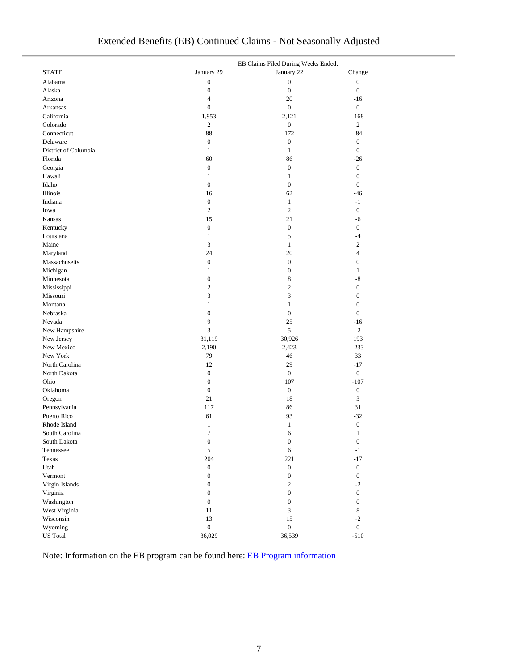| Extended Benefits (EB) Continued Claims - Not Seasonally Adjusted |
|-------------------------------------------------------------------|
|-------------------------------------------------------------------|

|                      |                  | EB Claims Filed During Weeks Ended: |                  |
|----------------------|------------------|-------------------------------------|------------------|
| <b>STATE</b>         | January 29       | January 22                          | Change           |
| Alabama              | $\boldsymbol{0}$ | $\boldsymbol{0}$                    | $\boldsymbol{0}$ |
| Alaska               | $\boldsymbol{0}$ | $\boldsymbol{0}$                    | $\mathbf{0}$     |
| Arizona              | $\overline{4}$   | 20                                  | $-16$            |
| Arkansas             | $\boldsymbol{0}$ | $\overline{0}$                      | $\boldsymbol{0}$ |
| California           | 1,953            | 2,121                               | $-168$           |
| Colorado             | 2                | $\boldsymbol{0}$                    | $\overline{c}$   |
| Connecticut          | 88               | 172                                 | $-84$            |
| Delaware             | $\boldsymbol{0}$ | $\boldsymbol{0}$                    | $\boldsymbol{0}$ |
| District of Columbia | $\mathbf{1}$     | $\mathbf{1}$                        | $\mathbf{0}$     |
| Florida              | 60               | 86                                  | $-26$            |
| Georgia              | $\boldsymbol{0}$ | $\boldsymbol{0}$                    | $\boldsymbol{0}$ |
| Hawaii               | $\mathbf{1}$     | $\mathbf{1}$                        | $\boldsymbol{0}$ |
| Idaho                | $\boldsymbol{0}$ | $\boldsymbol{0}$                    | $\boldsymbol{0}$ |
| Illinois             | 16               | 62                                  | $-46$            |
| Indiana              | $\boldsymbol{0}$ | $\mathbf{1}$                        | $-1$             |
| Iowa                 | $\mathfrak{2}$   | $\mathbf{2}$                        | $\boldsymbol{0}$ |
| Kansas               | 15               | 21                                  | -6               |
| Kentucky             | $\boldsymbol{0}$ | $\boldsymbol{0}$                    | $\boldsymbol{0}$ |
| Louisiana            | $\mathbf{1}$     | 5                                   | $-4$             |
| Maine                | 3                | $\mathbf{1}$                        | $\overline{c}$   |
|                      |                  |                                     |                  |
| Maryland             | 24               | 20                                  | $\overline{4}$   |
| Massachusetts        | $\boldsymbol{0}$ | $\boldsymbol{0}$                    | $\boldsymbol{0}$ |
| Michigan             | $\mathbf{1}$     | $\boldsymbol{0}$                    | $\mathbf{1}$     |
| Minnesota            | $\boldsymbol{0}$ | 8                                   | $-8$             |
| Mississippi          | $\mathfrak{2}$   | $\overline{c}$                      | $\boldsymbol{0}$ |
| Missouri             | 3                | 3                                   | $\boldsymbol{0}$ |
| Montana              | $\mathbf{1}$     | $\mathbf{1}$                        | $\boldsymbol{0}$ |
| Nebraska             | $\boldsymbol{0}$ | $\boldsymbol{0}$                    | $\overline{0}$   |
| Nevada               | 9                | 25                                  | $-16$            |
| New Hampshire        | 3                | 5                                   | $-2$             |
| New Jersey           | 31,119           | 30,926                              | 193              |
| New Mexico           | 2,190            | 2,423                               | $-233$           |
| New York             | 79               | 46                                  | 33               |
| North Carolina       | 12               | 29                                  | $-17$            |
| North Dakota         | $\boldsymbol{0}$ | $\boldsymbol{0}$                    | $\boldsymbol{0}$ |
| Ohio                 | $\boldsymbol{0}$ | 107                                 | $-107$           |
| Oklahoma             | $\boldsymbol{0}$ | $\mathbf{0}$                        | $\boldsymbol{0}$ |
| Oregon               | 21               | 18                                  | $\mathfrak{Z}$   |
| Pennsylvania         | 117              | 86                                  | 31               |
| Puerto Rico          | 61               | 93                                  | $-32$            |
| Rhode Island         | $\mathbf{1}$     | $\mathbf{1}$                        | $\boldsymbol{0}$ |
| South Carolina       | $\tau$           | 6                                   | 1                |
| South Dakota         | $\boldsymbol{0}$ | $\boldsymbol{0}$                    | $\boldsymbol{0}$ |
| Tennessee            | 5                | 6                                   | $-1$             |
| Texas                | 204              | 221                                 | $-17$            |
| Utah                 | $\boldsymbol{0}$ | $\boldsymbol{0}$                    | $\overline{0}$   |
| Vermont              | $\boldsymbol{0}$ | $\boldsymbol{0}$                    | $\overline{0}$   |
| Virgin Islands       | $\boldsymbol{0}$ | $\overline{c}$                      | $-2$             |
| Virginia             | $\boldsymbol{0}$ | $\boldsymbol{0}$                    | $\overline{0}$   |
| Washington           | $\boldsymbol{0}$ | $\boldsymbol{0}$                    | $\overline{0}$   |
| West Virginia        | 11               | 3                                   | $8\,$            |
| Wisconsin            | 13               | 15                                  | $-2$             |
| Wyoming              | $\boldsymbol{0}$ | $\boldsymbol{0}$                    | $\boldsymbol{0}$ |
| <b>US</b> Total      | 36,029           | 36,539                              | $-510$           |

Note: Information on the EB program can be found here[: EB Program information](https://oui.doleta.gov/unemploy/extenben.asp)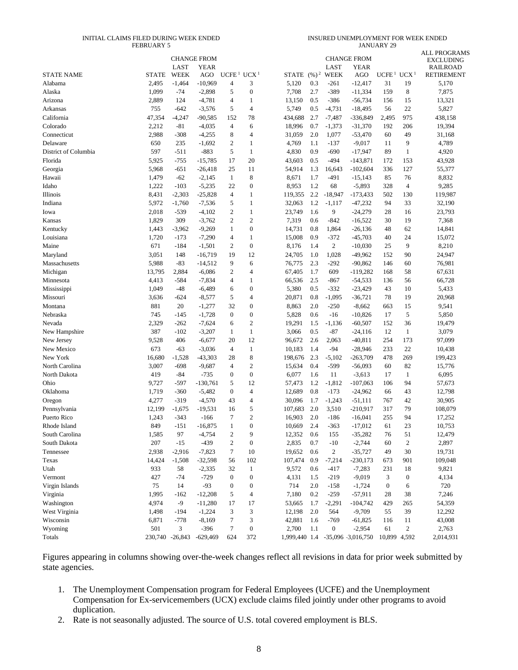#### INITIAL CLAIMS FILED DURING WEEK ENDED FEBRUARY 5

INSURED UNEMPLOYMENT FOR WEEK ENDED JANUARY 29

|                      |                 |             |                    |                         |                  |         |               |                  |                                 |                   |                  | <b>ALL PROGRAMS</b> |
|----------------------|-----------------|-------------|--------------------|-------------------------|------------------|---------|---------------|------------------|---------------------------------|-------------------|------------------|---------------------|
|                      |                 |             | <b>CHANGE FROM</b> |                         |                  |         |               |                  | <b>CHANGE FROM</b>              |                   |                  | <b>EXCLUDING</b>    |
|                      |                 | LAST        | YEAR               |                         |                  |         |               | LAST             | YEAR                            |                   |                  | <b>RAILROAD</b>     |
| <b>STATE NAME</b>    | <b>STATE</b>    | <b>WEEK</b> | AGO                | UCFE <sup>1</sup>       | UCX <sup>1</sup> |         | STATE $(%)^2$ | <b>WEEK</b>      | AGO                             | UCFE <sup>1</sup> | UCX <sup>1</sup> | <b>RETIREMENT</b>   |
| Alabama              | 2,495           | $-1,464$    | $-10,969$          | 4                       | 3                | 5,120   | 0.3           | $-261$           | $-12,417$                       | 31                | 19               | 5,170               |
| Alaska               | 1,099           | $-74$       | $-2,898$           | 5                       | $\mathbf{0}$     | 7,708   | 2.7           | $-389$           | $-11,334$                       | 159               | $\,8\,$          | 7,875               |
| Arizona              | 2,889           | 124         | $-4,781$           | 4                       | $\mathbf{1}$     | 13,150  | 0.5           | $-386$           | $-56,734$                       | 156               | 15               | 13,321              |
| Arkansas             | 755             | $-642$      | $-3,576$           | 5                       | $\overline{4}$   | 5,749   | 0.5           | $-4,731$         | $-18,495$                       | 56                | 22               | 5,827               |
| California           | 47,354          | $-4,247$    | $-90,585$          | 152                     | 78               | 434,688 | 2.7           | $-7,487$         | -336,849                        | 2,495             | 975              | 438,158             |
| Colorado             | 2,212           | $-81$       | $-4,035$           | 4                       | 6                | 18,996  | 0.7           | $-1,373$         | $-31,370$                       | 192               | 206              | 19,394              |
| Connecticut          | 2,988           | $-308$      | $-4,255$           | 8                       | $\overline{4}$   | 31,059  | 2.0           | 1,077            | $-53,470$                       | 60                | 49               | 31,168              |
| Delaware             | 650             | 235         | $-1,692$           | $\mathfrak{2}$          | $\mathbf{1}$     | 4,769   | 1.1           | $-137$           | $-9,017$                        | 11                | 9                | 4,789               |
| District of Columbia | 597             | $-511$      | $-883$             | 5                       | $\mathbf{1}$     | 4,830   | 0.9           | $-690$           | $-17,947$                       | 89                | $\mathbf{1}$     | 4,920               |
| Florida              | 5,925           | $-755$      | $-15,785$          | 17                      | 20               | 43,603  | 0.5           | $-494$           | $-143,871$                      | 172               | 153              | 43,928              |
| Georgia              | 5,968           | $-651$      | $-26,418$          | 25                      | 11               | 54,914  | 1.3           | 16,643           | $-102,604$                      | 336               | 127              | 55,377              |
| Hawaii               | 1,479           | $-62$       | $-2,145$           | 1                       | 8                | 8,671   | 1.7           | $-491$           | $-15,143$                       | 85                | 76               | 8,832               |
| Idaho                | 1,222           | $-103$      | $-5,235$           | 22                      | $\mathbf{0}$     | 8,953   | 1.2           | 68               | $-5,893$                        | 328               | $\overline{4}$   | 9,285               |
| Illinois             | 8,431           | $-2,303$    | $-25,828$          | $\overline{4}$          | $\mathbf{1}$     | 119,355 | 2.2           | $-18,947$        | $-173,433$                      | 502               | 130              | 119,987             |
| Indiana              | 5,972           | $-1,760$    | $-7,536$           | 5                       | $\mathbf{1}$     | 32,063  | 1.2           | $-1,117$         | $-47,232$                       | 94                | 33               | 32,190              |
| Iowa                 | 2,018           | $-539$      | $-4,102$           | $\overline{2}$          | $\mathbf{1}$     | 23,749  | 1.6           | 9                | $-24,279$                       | 28                | 16               | 23,793              |
| Kansas               | 1,829           | 309         | $-3,762$           | $\mathfrak{2}$          | $\sqrt{2}$       | 7,319   | 0.6           | $-842$           | $-16,522$                       | 30                | 19               | 7,368               |
| Kentucky             | 1,443           | $-3,962$    | $-9,269$           | 1                       | $\boldsymbol{0}$ | 14,731  | 0.8           | 1,864            | $-26,136$                       | 48                | 62               | 14,841              |
| Louisiana            | 1,720           | $-173$      | $-7,290$           | 4                       | 1                | 15,008  | 0.9           | $-372$           | $-45,703$                       | 40                | 24               | 15,072              |
| Maine                | 671             | $-184$      | $-1,501$           | $\mathfrak{2}$          | $\boldsymbol{0}$ | 8,176   | 1.4           | $\overline{c}$   | $-10,030$                       | 25                | 9                | 8,210               |
| Maryland             | 3,051           | 148         | $-16,719$          | 19                      | 12               | 24,705  | 1.0           | 1,028            | $-49,962$                       | 152               | 90               | 24,947              |
| Massachusetts        | 5,988           | $-83$       | $-14,512$          | 9                       | 6                | 76,775  | 2.3           | $-292$           | $-90,862$                       | 146               | 60               | 76,981              |
| Michigan             | 13,795          | 2,884       | $-6,086$           | $\mathfrak{2}$          | $\overline{4}$   | 67,405  | 1.7           | 609              | $-119,282$                      | 168               | 58               | 67,631              |
| Minnesota            | 4,413           | $-584$      | $-7,834$           | $\overline{4}$          | $\mathbf{1}$     | 66,536  | 2.5           | $-867$           | $-54,533$                       | 136               | 56               | 66,728              |
| Mississippi          | 1,049           | $-48$       | $-6,489$           | 6                       | $\mathbf{0}$     | 5,380   | 0.5           | $-332$           | $-23,429$                       | 43                | 10               | 5,433               |
| Missouri             | 3,636           | $-624$      | $-8,577$           | 5                       | $\overline{4}$   | 20,871  | 0.8           | $-1,095$         | $-36,721$                       | 78                | 19               | 20,968              |
| Montana              | 881             | 20          | $-1,277$           | 32                      | $\mathbf{0}$     | 8,863   | 2.0           | $-250$           | $-8,662$                        | 663               | 15               | 9,541               |
| Nebraska             | 745             | $-145$      | $-1,728$           | $\mathbf{0}$            | $\boldsymbol{0}$ | 5,828   | 0.6           | $-16$            | $-10,826$                       | 17                | 5                | 5,850               |
| Nevada               | 2,329           | $-262$      | $-7,624$           | 6                       | $\sqrt{2}$       | 19,291  | 1.5           | $-1,136$         | $-60,507$                       | 152               | 36               | 19,479              |
| New Hampshire        | 387             | $-102$      | $-3,207$           | 1                       | $\mathbf{1}$     | 3,066   | 0.5           | $-87$            | $-24,116$                       | 12                | $\mathbf{1}$     | 3,079               |
| New Jersey           | 9,528           | 406         | $-6,677$           | 20                      | 12               | 96,672  | 2.6           | 2,063            | $-40,811$                       | 254               | 173              | 97,099              |
| New Mexico           | 673             | $-63$       | $-3,036$           | 4                       | $\mathbf{1}$     | 10,183  | 1.4           | $-94$            | $-28,946$                       | 233               | 22               | 10,438              |
| New York             | 16,680          | $-1,528$    | $-43,303$          | 28                      | 8                | 198,676 | 2.3           | $-5,102$         | $-263,709$                      | 478               | 269              | 199,423             |
| North Carolina       | 3,007           | $-698$      | $-9,687$           | $\overline{4}$          | $\overline{2}$   | 15,634  | 0.4           | $-599$           | $-56,093$                       | 60                | 82               | 15,776              |
| North Dakota         | 419             | $-84$       | $-735$             | $\boldsymbol{0}$        | $\mathbf{0}$     | 6,077   | 1.6           | 11               | $-3,613$                        | 17                | $\mathbf{1}$     | 6,095               |
| Ohio                 | 9,727           | $-597$      | $-130,761$         | 5                       | 12               | 57,473  | 1.2           | $-1,812$         | $-107,063$                      | 106               | 94               | 57,673              |
| Oklahoma             | 1,719           | $-360$      | $-5,482$           | $\mathbf{0}$            | $\overline{4}$   | 12,689  | 0.8           | $-173$           | $-24,962$                       | 66                | 43               | 12,798              |
| Oregon               | 4,277           | $-319$      | $-4,570$           | 43                      | $\overline{4}$   | 30,096  | 1.7           | $-1,243$         | $-51,111$                       | 767               | 42               | 30,905              |
| Pennsylvania         | 12,199          | $-1,675$    | $-19,531$          | 16                      | 5                | 107,683 | 2.0           | 3,510            | $-210,917$                      | 317               | 79               | 108,079             |
| Puerto Rico          | 1,243           | $-343$      | $-166$             | 7                       | $\overline{2}$   | 16,903  | 2.0           | $-186$           | $-16,041$                       | 255               | 94               | 17,252              |
| Rhode Island         | 849             | $-151$      | $-16,875$          | $\mathbf{1}$            | $\Omega$         | 10,669  | 2.4           | $-363$           | $-17,012$                       | 61                | 23               | 10,753              |
| South Carolina       | 1,585           | 97          | $-4,754$           | $\overline{\mathbf{c}}$ | 9                | 12,352  | 0.6           | 155              | $-35,282$                       | 76                | 51               | 12,479              |
| South Dakota         | 207             | $-15$       | $-439$             | $\overline{\mathbf{c}}$ | $\boldsymbol{0}$ | 2,835   | 0.7           | $-10$            | $-2,744$                        | 60                | $\sqrt{2}$       | 2,897               |
| Tennessee            | 2,938           | $-2,916$    | $-7,823$           | 7                       | 10               | 19,652  | 0.6           | $\overline{c}$   | $-35,727$                       | 49                | 30               | 19,731              |
| Texas                | 14,424          | $-1,508$    | $-32,598$          | 56                      | 102              | 107,474 | 0.9           | $-7,214$         | $-230,173$                      | 673               | 901              | 109,048             |
| Utah                 | 933             | 58          | $-2,335$           | 32                      | $\mathbf{1}$     | 9,572   | 0.6           | $-417$           | $-7,283$                        | 231               | 18               | 9,821               |
| Vermont              | 427             | $-74$       | $-729$             | 0                       | $\boldsymbol{0}$ | 4,131   | 1.5           | $-219$           | $-9,019$                        | 3                 | $\boldsymbol{0}$ | 4,134               |
| Virgin Islands       | 75              | 14          | $-93$              | $\mathbf{0}$            | $\boldsymbol{0}$ | 714     | 2.0           | $-158$           | $-1,724$                        | $\boldsymbol{0}$  | 6                | 720                 |
| Virginia             | 1,995           | $-162$      | $-12,208$          | 5                       | 4                | 7,180   | 0.2           | $-259$           | $-57,911$                       | 28                | 38               | 7,246               |
| Washington           | 4,974           | $-9$        | $-11,280$          | 17                      | 17               | 53,665  | 1.7           | $-2,291$         | $-104,742$                      | 429               | 265              | 54,359              |
| West Virginia        | 1,498           | $-194$      | $-1,224$           | 3                       | 3                | 12,198  | 2.0           | 564              | $-9,709$                        | 55                | 39               | 12,292              |
| Wisconsin            | 6,871           | $-778$      | $-8,169$           | 7                       | 3                | 42,881  | 1.6           | $-769$           | $-61,825$                       | 116               | 11               | 43,008              |
| Wyoming              | 501             | 3           | $-396$             | $\boldsymbol{7}$        | $\boldsymbol{0}$ | 2,700   | 1.1           | $\boldsymbol{0}$ | $-2,954$                        | 61                | $\mathfrak{2}$   | 2,763               |
| Totals               | 230,740 -26,843 |             | $-629,469$         | 624                     | 372              |         |               |                  | 1,999,440 1.4 -35,096 3,016,750 | 10,899 4,592      |                  | 2,014,931           |

Figures appearing in columns showing over-the-week changes reflect all revisions in data for prior week submitted by state agencies.

- 1. The Unemployment Compensation program for Federal Employees (UCFE) and the Unemployment Compensation for Ex-servicemembers (UCX) exclude claims filed jointly under other programs to avoid duplication.
- 2. Rate is not seasonally adjusted. The source of U.S. total covered employment is BLS.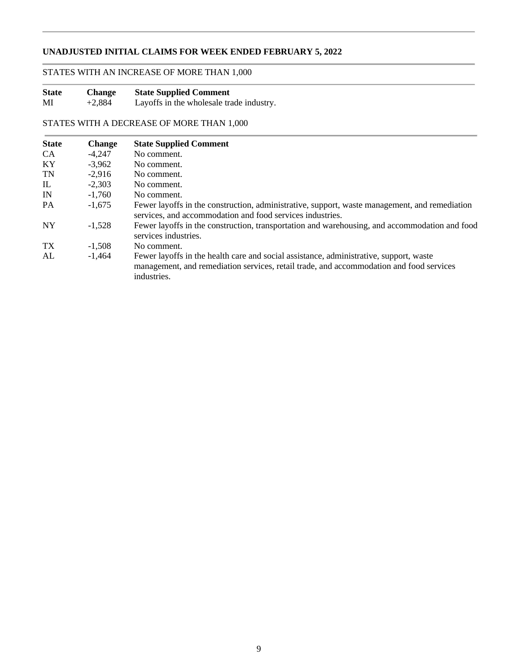# **UNADJUSTED INITIAL CLAIMS FOR WEEK ENDED FEBRUARY 5, 2022**

# STATES WITH AN INCREASE OF MORE THAN 1,000

| <b>State</b> | <b>Change</b> | <b>State Supplied Comment</b>            |
|--------------|---------------|------------------------------------------|
| MI           | $+2,884$      | Layoffs in the wholesale trade industry. |

# STATES WITH A DECREASE OF MORE THAN 1,000

| <b>State</b>    | <b>Change</b> | <b>State Supplied Comment</b>                                                                                                                                                                    |
|-----------------|---------------|--------------------------------------------------------------------------------------------------------------------------------------------------------------------------------------------------|
| <b>CA</b>       | $-4,247$      | No comment.                                                                                                                                                                                      |
| KY              | $-3.962$      | No comment.                                                                                                                                                                                      |
| <b>TN</b>       | $-2.916$      | No comment.                                                                                                                                                                                      |
| IL.             | $-2.303$      | No comment.                                                                                                                                                                                      |
| IN              | $-1.760$      | No comment.                                                                                                                                                                                      |
| PA              | $-1.675$      | Fewer layoffs in the construction, administrative, support, waste management, and remediation<br>services, and accommodation and food services industries.                                       |
| NY              | $-1.528$      | Fewer layoffs in the construction, transportation and warehousing, and accommodation and food<br>services industries.                                                                            |
| TX <sup>-</sup> | $-1.508$      | No comment.                                                                                                                                                                                      |
| AL              | $-1.464$      | Fewer layoffs in the health care and social assistance, administrative, support, waste<br>management, and remediation services, retail trade, and accommodation and food services<br>industries. |